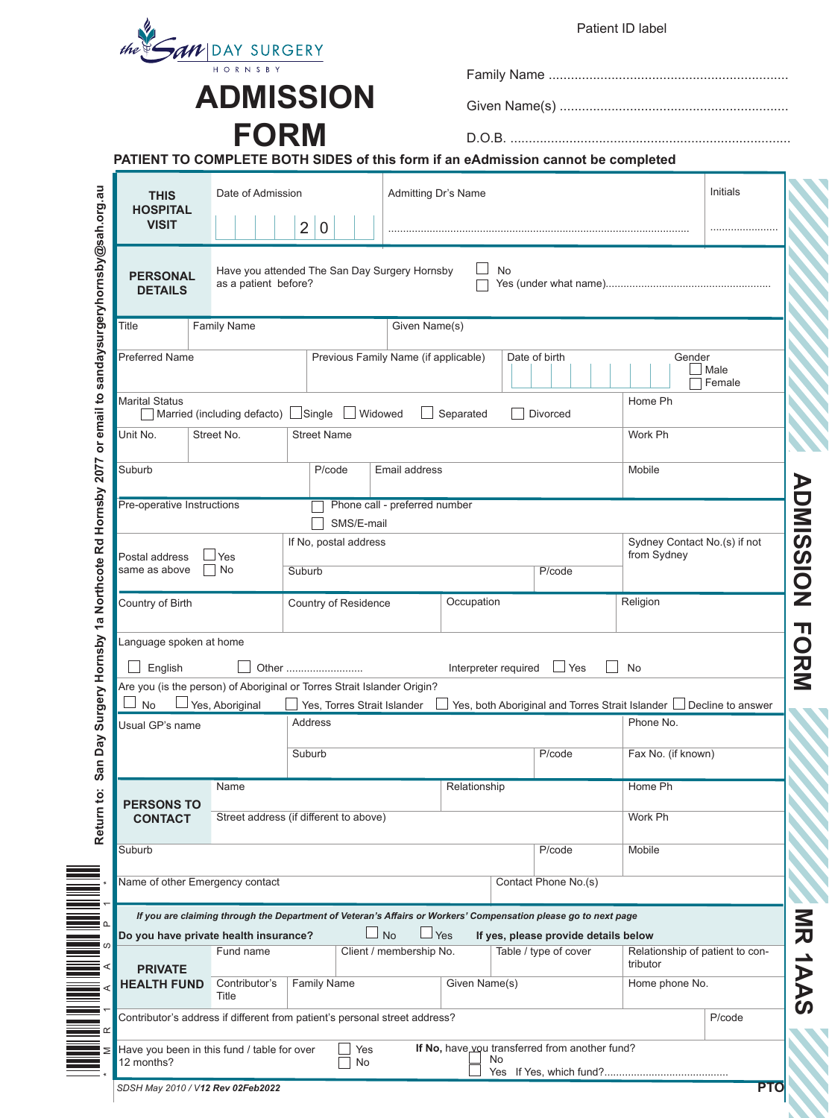|                                                                      |                                        | <b>ADMISSION</b>                                                                                                |                                      |                      |           |                                      |                                                                     |                          |  |
|----------------------------------------------------------------------|----------------------------------------|-----------------------------------------------------------------------------------------------------------------|--------------------------------------|----------------------|-----------|--------------------------------------|---------------------------------------------------------------------|--------------------------|--|
|                                                                      |                                        |                                                                                                                 |                                      |                      |           |                                      |                                                                     |                          |  |
|                                                                      | <b>FORM</b>                            | PATIENT TO COMPLETE BOTH SIDES of this form if an eAdmission cannot be completed                                |                                      |                      |           |                                      |                                                                     |                          |  |
| Date of Admission<br><b>THIS</b><br><b>HOSPITAL</b><br><b>VISIT</b>  |                                        |                                                                                                                 |                                      | Admitting Dr's Name  |           |                                      |                                                                     | Initials                 |  |
|                                                                      |                                        | $\overline{2}$<br>$\overline{0}$                                                                                |                                      |                      |           |                                      |                                                                     |                          |  |
| <b>PERSONAL</b><br><b>DETAILS</b>                                    | as a patient before?                   | Have you attended The San Day Surgery Hornsby                                                                   |                                      |                      | <b>No</b> |                                      |                                                                     |                          |  |
| Title                                                                | <b>Family Name</b>                     |                                                                                                                 | Given Name(s)                        |                      |           |                                      |                                                                     |                          |  |
| <b>Preferred Name</b>                                                |                                        |                                                                                                                 | Previous Family Name (if applicable) |                      |           | Date of birth                        |                                                                     | Gender<br>Male<br>Female |  |
| <b>Marital Status</b>                                                |                                        | Married (including defacto) Single U Widowed                                                                    |                                      | $\Box$ Separated     |           | Divorced                             | Home Ph                                                             |                          |  |
| Unit No.                                                             | Street No.<br><b>Street Name</b>       |                                                                                                                 |                                      |                      |           | Work Ph                              |                                                                     |                          |  |
| Suburb<br>P/code                                                     |                                        |                                                                                                                 |                                      | Email address        |           |                                      |                                                                     | Mobile                   |  |
| Pre-operative Instructions                                           |                                        |                                                                                                                 | Phone call - preferred number        |                      |           |                                      |                                                                     |                          |  |
|                                                                      |                                        | SMS/E-mail<br>If No, postal address                                                                             |                                      |                      |           |                                      | Sydney Contact No.(s) if not<br>from Sydney                         |                          |  |
| Postal address<br>Yes<br>$ $ No<br>same as above<br>Country of Birth |                                        | Suburb                                                                                                          |                                      | P/code<br>Occupation |           |                                      |                                                                     |                          |  |
|                                                                      |                                        | Country of Residence                                                                                            |                                      |                      |           |                                      | Religion                                                            |                          |  |
| Language spoken at home                                              |                                        |                                                                                                                 |                                      |                      |           |                                      |                                                                     |                          |  |
| English                                                              |                                        | Other                                                                                                           |                                      | Interpreter required |           | $\Box$ Yes                           | No                                                                  |                          |  |
| No                                                                   | Yes, Aboriginal                        | Are you (is the person) of Aboriginal or Torres Strait Islander Origin?<br>Yes, Torres Strait Islander          |                                      |                      |           |                                      | Yes, both Aboriginal and Torres Strait Islander   Decline to answer |                          |  |
| Usual GP's name                                                      |                                        | Address                                                                                                         |                                      |                      |           | Phone No.                            |                                                                     |                          |  |
|                                                                      |                                        | Suburb                                                                                                          |                                      |                      |           | P/code                               | Fax No. (if known)                                                  |                          |  |
|                                                                      | Name                                   |                                                                                                                 |                                      | Relationship         |           |                                      | Home Ph                                                             |                          |  |
| <b>PERSONS TO</b><br><b>CONTACT</b>                                  | Street address (if different to above) |                                                                                                                 |                                      |                      |           | Work Ph                              |                                                                     |                          |  |
| Suburb                                                               |                                        |                                                                                                                 |                                      |                      |           | P/code                               | Mobile                                                              |                          |  |
|                                                                      | Name of other Emergency contact        |                                                                                                                 |                                      |                      |           | Contact Phone No.(s)                 |                                                                     |                          |  |
|                                                                      |                                        | If you are claiming through the Department of Veteran's Affairs or Workers' Compensation please go to next page |                                      |                      |           |                                      |                                                                     |                          |  |
|                                                                      | Do you have private health insurance?  |                                                                                                                 | <b>No</b>                            | Yes                  |           | If yes, please provide details below |                                                                     |                          |  |
| <b>PRIVATE</b><br><b>HEALTH FUND</b>                                 | Fund name<br>Contributor's             | <b>Family Name</b>                                                                                              | Client / membership No.              | Given Name(s)        |           | Table / type of cover                | Relationship of patient to con-<br>tributor<br>Home phone No.       |                          |  |
|                                                                      | Title                                  | Contributor's address if different from patient's personal street address?                                      |                                      |                      |           |                                      |                                                                     | P/code                   |  |
|                                                                      |                                        |                                                                                                                 |                                      |                      |           |                                      |                                                                     |                          |  |